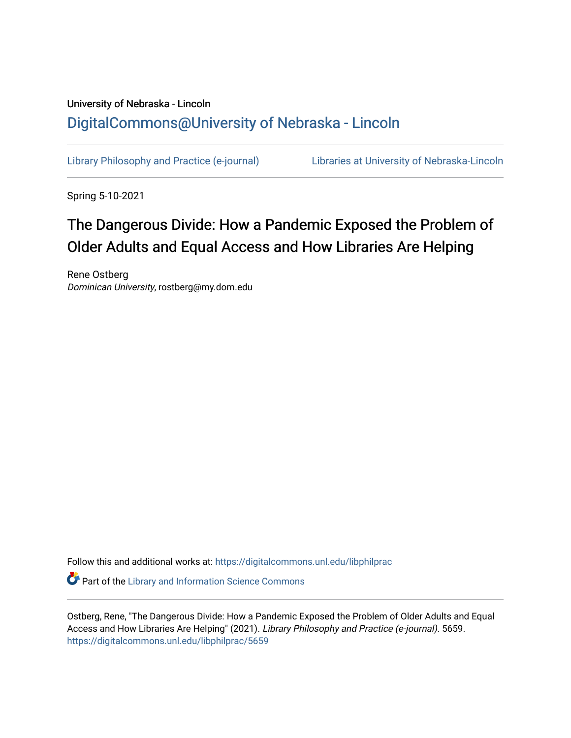## University of Nebraska - Lincoln [DigitalCommons@University of Nebraska - Lincoln](https://digitalcommons.unl.edu/)

[Library Philosophy and Practice \(e-journal\)](https://digitalcommons.unl.edu/libphilprac) [Libraries at University of Nebraska-Lincoln](https://digitalcommons.unl.edu/libraries) 

Spring 5-10-2021

## The Dangerous Divide: How a Pandemic Exposed the Problem of Older Adults and Equal Access and How Libraries Are Helping

Rene Ostberg Dominican University, rostberg@my.dom.edu

Follow this and additional works at: [https://digitalcommons.unl.edu/libphilprac](https://digitalcommons.unl.edu/libphilprac?utm_source=digitalcommons.unl.edu%2Flibphilprac%2F5659&utm_medium=PDF&utm_campaign=PDFCoverPages) 

**Part of the Library and Information Science Commons** 

Ostberg, Rene, "The Dangerous Divide: How a Pandemic Exposed the Problem of Older Adults and Equal Access and How Libraries Are Helping" (2021). Library Philosophy and Practice (e-journal). 5659. [https://digitalcommons.unl.edu/libphilprac/5659](https://digitalcommons.unl.edu/libphilprac/5659?utm_source=digitalcommons.unl.edu%2Flibphilprac%2F5659&utm_medium=PDF&utm_campaign=PDFCoverPages)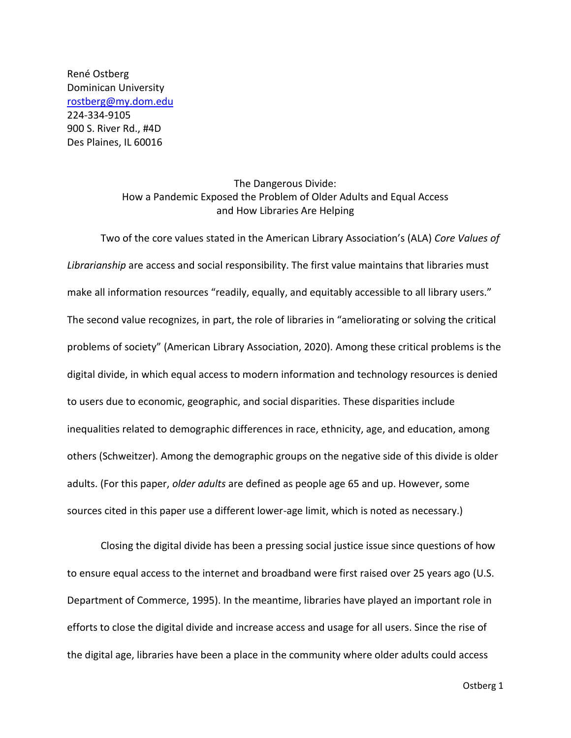René Ostberg Dominican University [rostberg@my.dom.edu](mailto:rostberg@my.dom.edu) 224-334-9105 900 S. River Rd., #4D Des Plaines, IL 60016

## The Dangerous Divide: How a Pandemic Exposed the Problem of Older Adults and Equal Access and How Libraries Are Helping

Two of the core values stated in the American Library Association's (ALA) *Core Values of Librarianship* are access and social responsibility. The first value maintains that libraries must make all information resources "readily, equally, and equitably accessible to all library users." The second value recognizes, in part, the role of libraries in "ameliorating or solving the critical problems of society" (American Library Association, 2020). Among these critical problems is the digital divide, in which equal access to modern information and technology resources is denied to users due to economic, geographic, and social disparities. These disparities include inequalities related to demographic differences in race, ethnicity, age, and education, among others (Schweitzer). Among the demographic groups on the negative side of this divide is older adults. (For this paper, *older adults* are defined as people age 65 and up. However, some sources cited in this paper use a different lower-age limit, which is noted as necessary.)

Closing the digital divide has been a pressing social justice issue since questions of how to ensure equal access to the internet and broadband were first raised over 25 years ago (U.S. Department of Commerce, 1995). In the meantime, libraries have played an important role in efforts to close the digital divide and increase access and usage for all users. Since the rise of the digital age, libraries have been a place in the community where older adults could access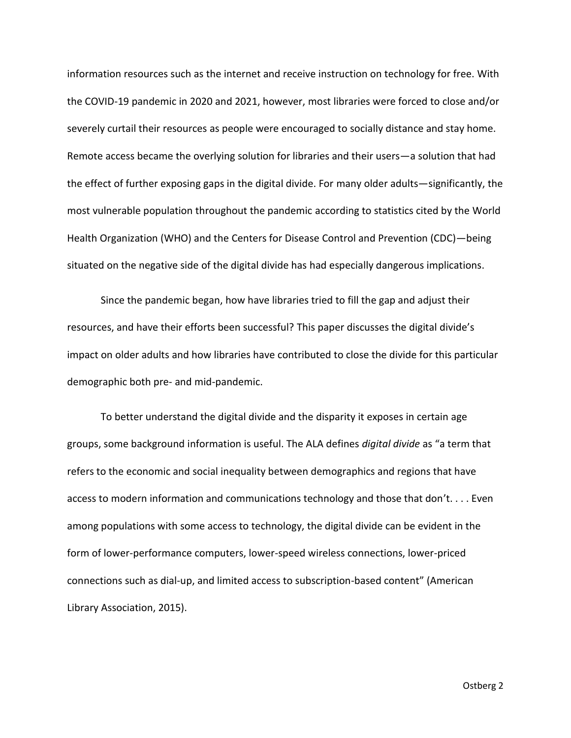information resources such as the internet and receive instruction on technology for free. With the COVID-19 pandemic in 2020 and 2021, however, most libraries were forced to close and/or severely curtail their resources as people were encouraged to socially distance and stay home. Remote access became the overlying solution for libraries and their users—a solution that had the effect of further exposing gaps in the digital divide. For many older adults—significantly, the most vulnerable population throughout the pandemic according to statistics cited by the World Health Organization (WHO) and the Centers for Disease Control and Prevention (CDC)—being situated on the negative side of the digital divide has had especially dangerous implications.

Since the pandemic began, how have libraries tried to fill the gap and adjust their resources, and have their efforts been successful? This paper discusses the digital divide's impact on older adults and how libraries have contributed to close the divide for this particular demographic both pre- and mid-pandemic.

To better understand the digital divide and the disparity it exposes in certain age groups, some background information is useful. The ALA defines *digital divide* as "a term that refers to the economic and social inequality between demographics and regions that have access to modern information and communications technology and those that don't. . . . Even among populations with some access to technology, the digital divide can be evident in the form of lower-performance computers, lower-speed wireless connections, lower-priced connections such as dial-up, and limited access to subscription-based content" (American Library Association, 2015).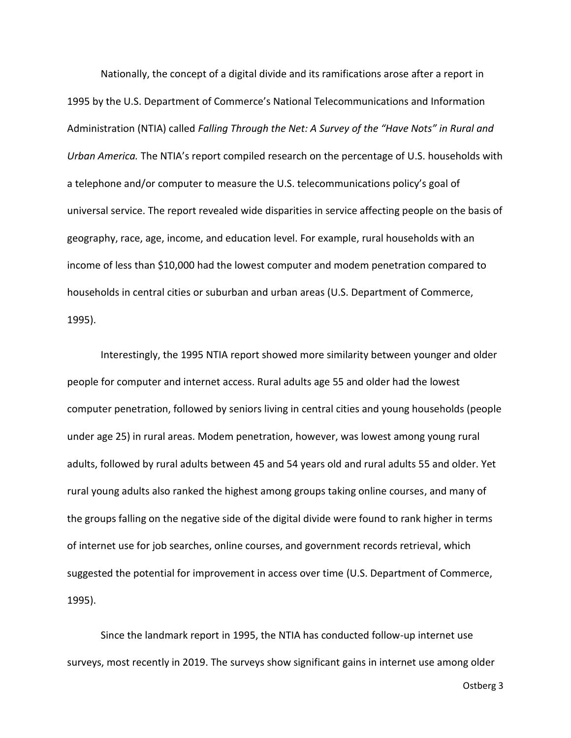Nationally, the concept of a digital divide and its ramifications arose after a report in 1995 by the U.S. Department of Commerce's National Telecommunications and Information Administration (NTIA) called *Falling Through the Net: A Survey of the "Have Nots" in Rural and Urban America.* The NTIA's report compiled research on the percentage of U.S. households with a telephone and/or computer to measure the U.S. telecommunications policy's goal of universal service. The report revealed wide disparities in service affecting people on the basis of geography, race, age, income, and education level. For example, rural households with an income of less than \$10,000 had the lowest computer and modem penetration compared to households in central cities or suburban and urban areas (U.S. Department of Commerce, 1995).

Interestingly, the 1995 NTIA report showed more similarity between younger and older people for computer and internet access. Rural adults age 55 and older had the lowest computer penetration, followed by seniors living in central cities and young households (people under age 25) in rural areas. Modem penetration, however, was lowest among young rural adults, followed by rural adults between 45 and 54 years old and rural adults 55 and older. Yet rural young adults also ranked the highest among groups taking online courses, and many of the groups falling on the negative side of the digital divide were found to rank higher in terms of internet use for job searches, online courses, and government records retrieval, which suggested the potential for improvement in access over time (U.S. Department of Commerce, 1995).

Since the landmark report in 1995, the NTIA has conducted follow-up internet use surveys, most recently in 2019. The surveys show significant gains in internet use among older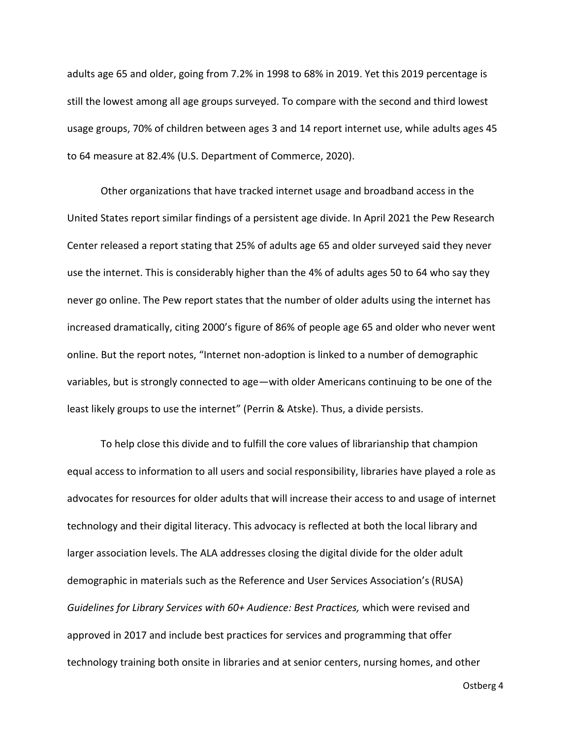adults age 65 and older, going from 7.2% in 1998 to 68% in 2019. Yet this 2019 percentage is still the lowest among all age groups surveyed. To compare with the second and third lowest usage groups, 70% of children between ages 3 and 14 report internet use, while adults ages 45 to 64 measure at 82.4% (U.S. Department of Commerce, 2020).

Other organizations that have tracked internet usage and broadband access in the United States report similar findings of a persistent age divide. In April 2021 the Pew Research Center released a report stating that 25% of adults age 65 and older surveyed said they never use the internet. This is considerably higher than the 4% of adults ages 50 to 64 who say they never go online. The Pew report states that the number of older adults using the internet has increased dramatically, citing 2000's figure of 86% of people age 65 and older who never went online. But the report notes, "Internet non-adoption is linked to a number of demographic variables, but is strongly connected to age—with older Americans continuing to be one of the least likely groups to use the internet" (Perrin & Atske). Thus, a divide persists.

To help close this divide and to fulfill the core values of librarianship that champion equal access to information to all users and social responsibility, libraries have played a role as advocates for resources for older adults that will increase their access to and usage of internet technology and their digital literacy. This advocacy is reflected at both the local library and larger association levels. The ALA addresses closing the digital divide for the older adult demographic in materials such as the Reference and User Services Association's (RUSA) *Guidelines for Library Services with 60+ Audience: Best Practices,* which were revised and approved in 2017 and include best practices for services and programming that offer technology training both onsite in libraries and at senior centers, nursing homes, and other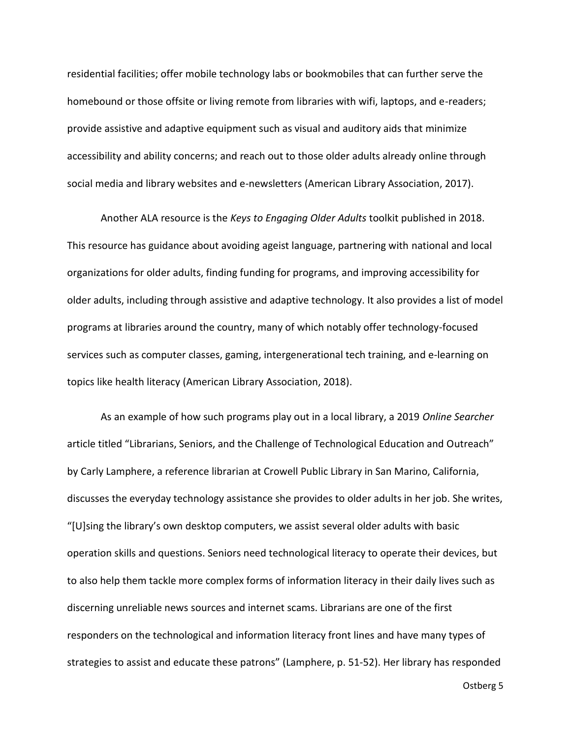residential facilities; offer mobile technology labs or bookmobiles that can further serve the homebound or those offsite or living remote from libraries with wifi, laptops, and e-readers; provide assistive and adaptive equipment such as visual and auditory aids that minimize accessibility and ability concerns; and reach out to those older adults already online through social media and library websites and e-newsletters (American Library Association, 2017).

Another ALA resource is the *Keys to Engaging Older Adults* toolkit published in 2018. This resource has guidance about avoiding ageist language, partnering with national and local organizations for older adults, finding funding for programs, and improving accessibility for older adults, including through assistive and adaptive technology. It also provides a list of model programs at libraries around the country, many of which notably offer technology-focused services such as computer classes, gaming, intergenerational tech training, and e-learning on topics like health literacy (American Library Association, 2018).

As an example of how such programs play out in a local library, a 2019 *Online Searcher* article titled "Librarians, Seniors, and the Challenge of Technological Education and Outreach" by Carly Lamphere, a reference librarian at Crowell Public Library in San Marino, California, discusses the everyday technology assistance she provides to older adults in her job. She writes, "[U]sing the library's own desktop computers, we assist several older adults with basic operation skills and questions. Seniors need technological literacy to operate their devices, but to also help them tackle more complex forms of information literacy in their daily lives such as discerning unreliable news sources and internet scams. Librarians are one of the first responders on the technological and information literacy front lines and have many types of strategies to assist and educate these patrons" (Lamphere, p. 51-52). Her library has responded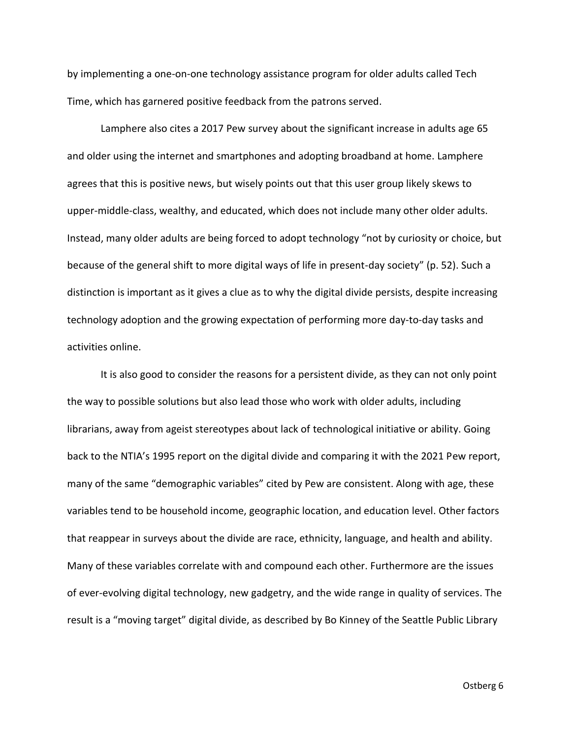by implementing a one-on-one technology assistance program for older adults called Tech Time, which has garnered positive feedback from the patrons served.

Lamphere also cites a 2017 Pew survey about the significant increase in adults age 65 and older using the internet and smartphones and adopting broadband at home. Lamphere agrees that this is positive news, but wisely points out that this user group likely skews to upper-middle-class, wealthy, and educated, which does not include many other older adults. Instead, many older adults are being forced to adopt technology "not by curiosity or choice, but because of the general shift to more digital ways of life in present-day society" (p. 52). Such a distinction is important as it gives a clue as to why the digital divide persists, despite increasing technology adoption and the growing expectation of performing more day-to-day tasks and activities online.

It is also good to consider the reasons for a persistent divide, as they can not only point the way to possible solutions but also lead those who work with older adults, including librarians, away from ageist stereotypes about lack of technological initiative or ability. Going back to the NTIA's 1995 report on the digital divide and comparing it with the 2021 Pew report, many of the same "demographic variables" cited by Pew are consistent. Along with age, these variables tend to be household income, geographic location, and education level. Other factors that reappear in surveys about the divide are race, ethnicity, language, and health and ability. Many of these variables correlate with and compound each other. Furthermore are the issues of ever-evolving digital technology, new gadgetry, and the wide range in quality of services. The result is a "moving target" digital divide, as described by Bo Kinney of the Seattle Public Library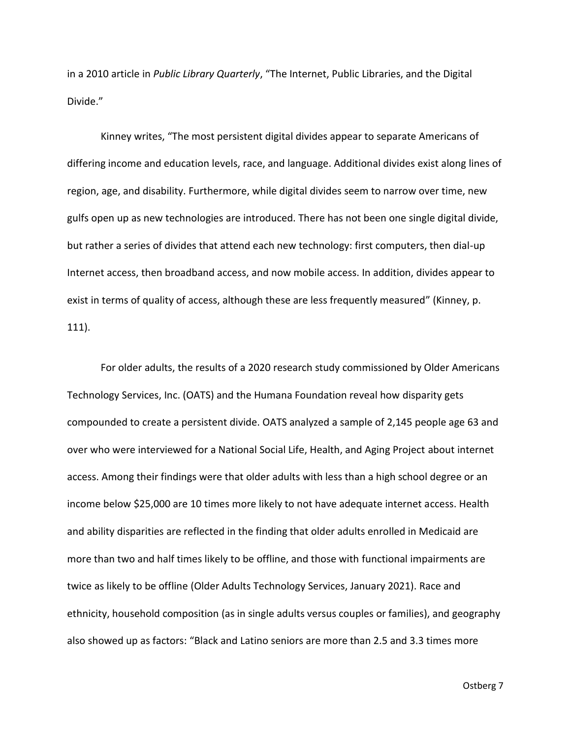in a 2010 article in *Public Library Quarterly*, "The Internet, Public Libraries, and the Digital Divide."

Kinney writes, "The most persistent digital divides appear to separate Americans of differing income and education levels, race, and language. Additional divides exist along lines of region, age, and disability. Furthermore, while digital divides seem to narrow over time, new gulfs open up as new technologies are introduced. There has not been one single digital divide, but rather a series of divides that attend each new technology: first computers, then dial-up Internet access, then broadband access, and now mobile access. In addition, divides appear to exist in terms of quality of access, although these are less frequently measured" (Kinney, p. 111).

For older adults, the results of a 2020 research study commissioned by Older Americans Technology Services, Inc. (OATS) and the Humana Foundation reveal how disparity gets compounded to create a persistent divide. OATS analyzed a sample of 2,145 people age 63 and over who were interviewed for a National Social Life, Health, and Aging Project about internet access. Among their findings were that older adults with less than a high school degree or an income below \$25,000 are 10 times more likely to not have adequate internet access. Health and ability disparities are reflected in the finding that older adults enrolled in Medicaid are more than two and half times likely to be offline, and those with functional impairments are twice as likely to be offline (Older Adults Technology Services, January 2021). Race and ethnicity, household composition (as in single adults versus couples or families), and geography also showed up as factors: "Black and Latino seniors are more than 2.5 and 3.3 times more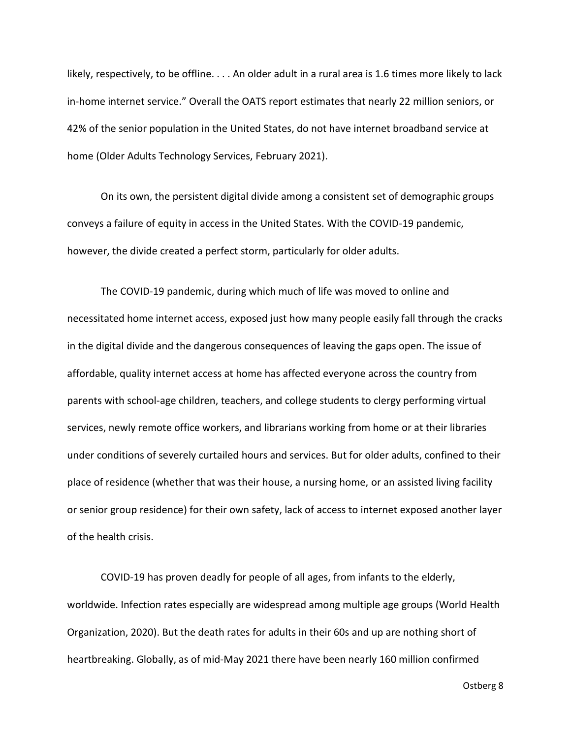likely, respectively, to be offline. . . . An older adult in a rural area is 1.6 times more likely to lack in-home internet service." Overall the OATS report estimates that nearly 22 million seniors, or 42% of the senior population in the United States, do not have internet broadband service at home (Older Adults Technology Services, February 2021).

On its own, the persistent digital divide among a consistent set of demographic groups conveys a failure of equity in access in the United States. With the COVID-19 pandemic, however, the divide created a perfect storm, particularly for older adults.

The COVID-19 pandemic, during which much of life was moved to online and necessitated home internet access, exposed just how many people easily fall through the cracks in the digital divide and the dangerous consequences of leaving the gaps open. The issue of affordable, quality internet access at home has affected everyone across the country from parents with school-age children, teachers, and college students to clergy performing virtual services, newly remote office workers, and librarians working from home or at their libraries under conditions of severely curtailed hours and services. But for older adults, confined to their place of residence (whether that was their house, a nursing home, or an assisted living facility or senior group residence) for their own safety, lack of access to internet exposed another layer of the health crisis.

COVID-19 has proven deadly for people of all ages, from infants to the elderly, worldwide. Infection rates especially are widespread among multiple age groups (World Health Organization, 2020). But the death rates for adults in their 60s and up are nothing short of heartbreaking. Globally, as of mid-May 2021 there have been nearly 160 million confirmed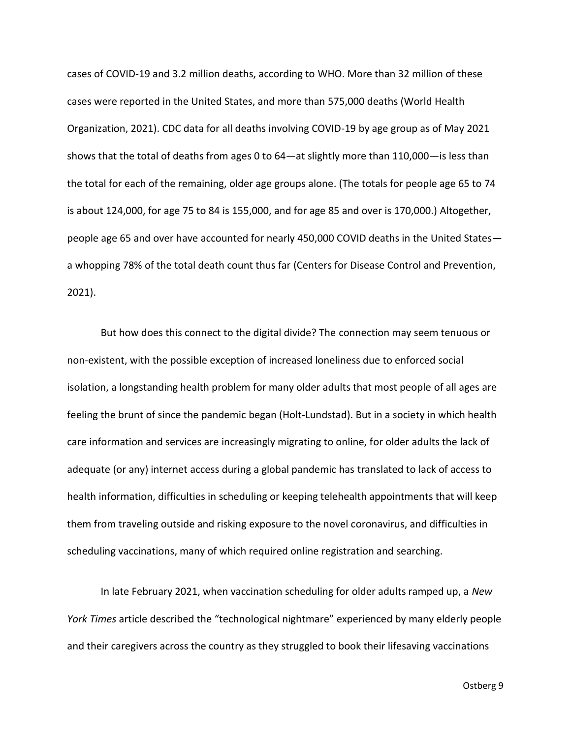cases of COVID-19 and 3.2 million deaths, according to WHO. More than 32 million of these cases were reported in the United States, and more than 575,000 deaths (World Health Organization, 2021). CDC data for all deaths involving COVID-19 by age group as of May 2021 shows that the total of deaths from ages 0 to 64—at slightly more than 110,000—is less than the total for each of the remaining, older age groups alone. (The totals for people age 65 to 74 is about 124,000, for age 75 to 84 is 155,000, and for age 85 and over is 170,000.) Altogether, people age 65 and over have accounted for nearly 450,000 COVID deaths in the United States a whopping 78% of the total death count thus far (Centers for Disease Control and Prevention, 2021).

But how does this connect to the digital divide? The connection may seem tenuous or non-existent, with the possible exception of increased loneliness due to enforced social isolation, a longstanding health problem for many older adults that most people of all ages are feeling the brunt of since the pandemic began (Holt-Lundstad). But in a society in which health care information and services are increasingly migrating to online, for older adults the lack of adequate (or any) internet access during a global pandemic has translated to lack of access to health information, difficulties in scheduling or keeping telehealth appointments that will keep them from traveling outside and risking exposure to the novel coronavirus, and difficulties in scheduling vaccinations, many of which required online registration and searching.

In late February 2021, when vaccination scheduling for older adults ramped up, a *New York Times* article described the "technological nightmare" experienced by many elderly people and their caregivers across the country as they struggled to book their lifesaving vaccinations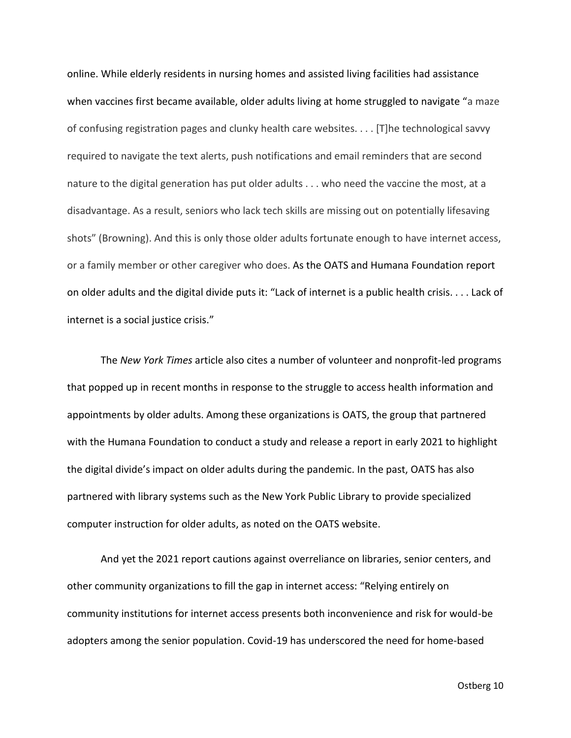online. While elderly residents in nursing homes and assisted living facilities had assistance when vaccines first became available, older adults living at home struggled to navigate "a maze of confusing registration pages and clunky health care websites. . . . [T]he technological savvy required to navigate the text alerts, push notifications and email reminders that are second nature to the digital generation has put older adults . . . who need the vaccine the most, at a disadvantage. As a result, seniors who lack tech skills are missing out on potentially lifesaving shots" (Browning). And this is only those older adults fortunate enough to have internet access, or a family member or other caregiver who does. As the OATS and Humana Foundation report on older adults and the digital divide puts it: "Lack of internet is a public health crisis. . . . Lack of internet is a social justice crisis."

The *New York Times* article also cites a number of volunteer and nonprofit-led programs that popped up in recent months in response to the struggle to access health information and appointments by older adults. Among these organizations is OATS, the group that partnered with the Humana Foundation to conduct a study and release a report in early 2021 to highlight the digital divide's impact on older adults during the pandemic. In the past, OATS has also partnered with library systems such as the New York Public Library to provide specialized computer instruction for older adults, as noted on the OATS website.

And yet the 2021 report cautions against overreliance on libraries, senior centers, and other community organizations to fill the gap in internet access: "Relying entirely on community institutions for internet access presents both inconvenience and risk for would-be adopters among the senior population. Covid-19 has underscored the need for home-based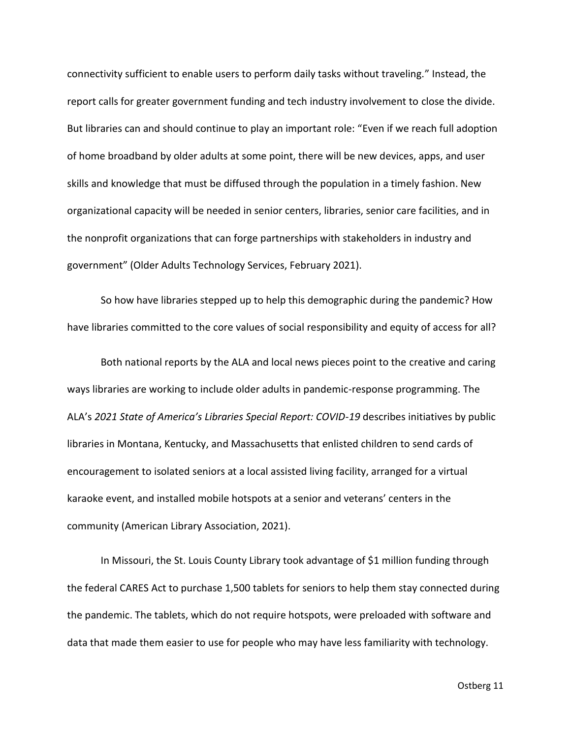connectivity sufficient to enable users to perform daily tasks without traveling." Instead, the report calls for greater government funding and tech industry involvement to close the divide. But libraries can and should continue to play an important role: "Even if we reach full adoption of home broadband by older adults at some point, there will be new devices, apps, and user skills and knowledge that must be diffused through the population in a timely fashion. New organizational capacity will be needed in senior centers, libraries, senior care facilities, and in the nonprofit organizations that can forge partnerships with stakeholders in industry and government" (Older Adults Technology Services, February 2021).

So how have libraries stepped up to help this demographic during the pandemic? How have libraries committed to the core values of social responsibility and equity of access for all?

Both national reports by the ALA and local news pieces point to the creative and caring ways libraries are working to include older adults in pandemic-response programming. The ALA's *2021 State of America's Libraries Special Report: COVID-19* describes initiatives by public libraries in Montana, Kentucky, and Massachusetts that enlisted children to send cards of encouragement to isolated seniors at a local assisted living facility, arranged for a virtual karaoke event, and installed mobile hotspots at a senior and veterans' centers in the community (American Library Association, 2021).

In Missouri, the St. Louis County Library took advantage of \$1 million funding through the federal CARES Act to purchase 1,500 tablets for seniors to help them stay connected during the pandemic. The tablets, which do not require hotspots, were preloaded with software and data that made them easier to use for people who may have less familiarity with technology.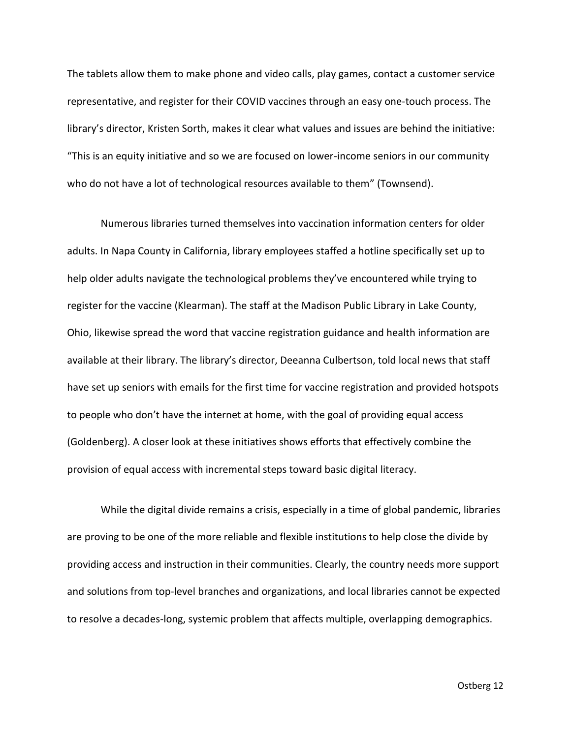The tablets allow them to make phone and video calls, play games, contact a customer service representative, and register for their COVID vaccines through an easy one-touch process. The library's director, Kristen Sorth, makes it clear what values and issues are behind the initiative: "This is an equity initiative and so we are focused on lower-income seniors in our community who do not have a lot of technological resources available to them" (Townsend).

Numerous libraries turned themselves into vaccination information centers for older adults. In Napa County in California, library employees staffed a hotline specifically set up to help older adults navigate the technological problems they've encountered while trying to register for the vaccine (Klearman). The staff at the Madison Public Library in Lake County, Ohio, likewise spread the word that vaccine registration guidance and health information are available at their library. The library's director, Deeanna Culbertson, told local news that staff have set up seniors with emails for the first time for vaccine registration and provided hotspots to people who don't have the internet at home, with the goal of providing equal access (Goldenberg). A closer look at these initiatives shows efforts that effectively combine the provision of equal access with incremental steps toward basic digital literacy.

While the digital divide remains a crisis, especially in a time of global pandemic, libraries are proving to be one of the more reliable and flexible institutions to help close the divide by providing access and instruction in their communities. Clearly, the country needs more support and solutions from top-level branches and organizations, and local libraries cannot be expected to resolve a decades-long, systemic problem that affects multiple, overlapping demographics.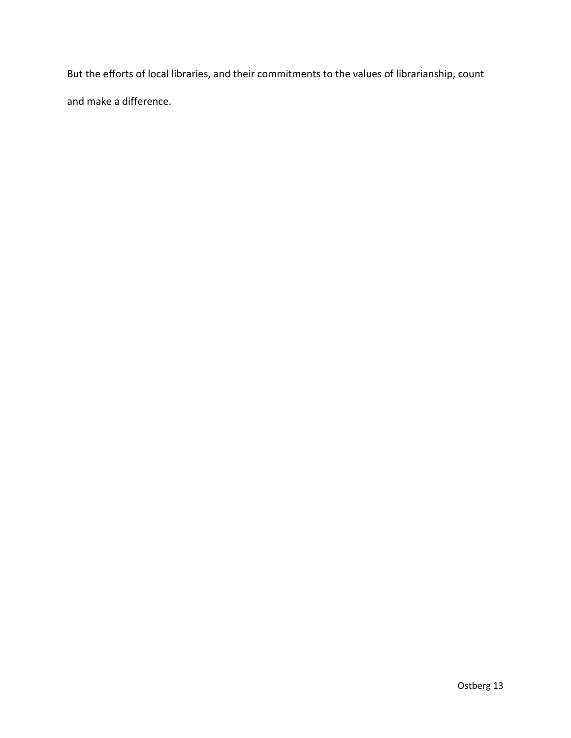But the efforts of local libraries, and their commitments to the values of librarianship, count and make a difference.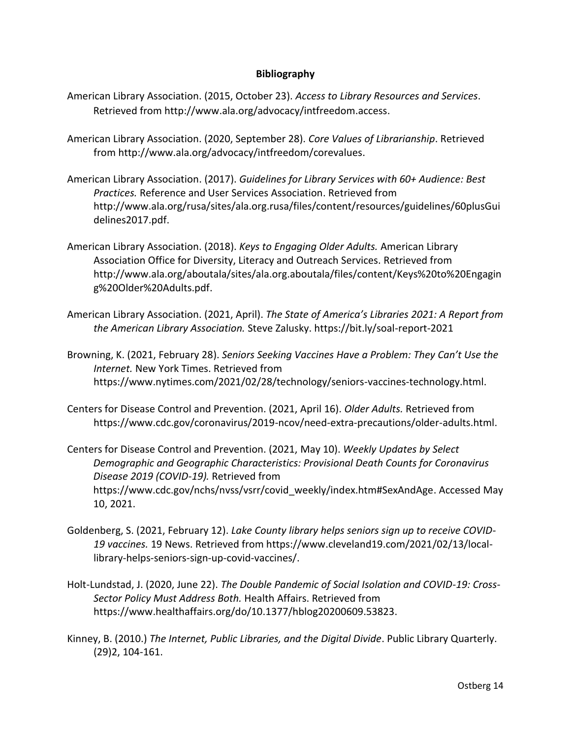## **Bibliography**

- American Library Association. (2015, October 23). *Access to Library Resources and Services*. Retrieved from http://www.ala.org/advocacy/intfreedom.access.
- American Library Association. (2020, September 28). *Core Values of Librarianship*. Retrieved from http://www.ala.org/advocacy/intfreedom/corevalues.
- American Library Association. (2017). *Guidelines for Library Services with 60+ Audience: Best Practices.* Reference and User Services Association. Retrieved from http://www.ala.org/rusa/sites/ala.org.rusa/files/content/resources/guidelines/60plusGui delines2017.pdf.
- American Library Association. (2018). *Keys to Engaging Older Adults.* American Library Association Office for Diversity, Literacy and Outreach Services. Retrieved from http://www.ala.org/aboutala/sites/ala.org.aboutala/files/content/Keys%20to%20Engagin g%20Older%20Adults.pdf.
- American Library Association. (2021, April). *The State of America's Libraries 2021: A Report from the American Library Association.* Steve Zalusky. https://bit.ly/soal-report-2021
- Browning, K. (2021, February 28). *Seniors Seeking Vaccines Have a Problem: They Can't Use the Internet.* New York Times. Retrieved from https://www.nytimes.com/2021/02/28/technology/seniors-vaccines-technology.html.
- Centers for Disease Control and Prevention. (2021, April 16). *Older Adults.* Retrieved from https://www.cdc.gov/coronavirus/2019-ncov/need-extra-precautions/older-adults.html.
- Centers for Disease Control and Prevention. (2021, May 10). *Weekly Updates by Select Demographic and Geographic Characteristics: Provisional Death Counts for Coronavirus Disease 2019 (COVID-19).* Retrieved from https://www.cdc.gov/nchs/nvss/vsrr/covid\_weekly/index.htm#SexAndAge. Accessed May 10, 2021.
- Goldenberg, S. (2021, February 12). *Lake County library helps seniors sign up to receive COVID-19 vaccines.* 19 News. Retrieved from https://www.cleveland19.com/2021/02/13/locallibrary-helps-seniors-sign-up-covid-vaccines/.
- Holt-Lundstad, J. (2020, June 22). *The Double Pandemic of Social Isolation and COVID-19: Cross-Sector Policy Must Address Both.* Health Affairs. Retrieved from https://www.healthaffairs.org/do/10.1377/hblog20200609.53823.
- Kinney, B. (2010.) *The Internet, Public Libraries, and the Digital Divide*. Public Library Quarterly. (29)2, 104-161.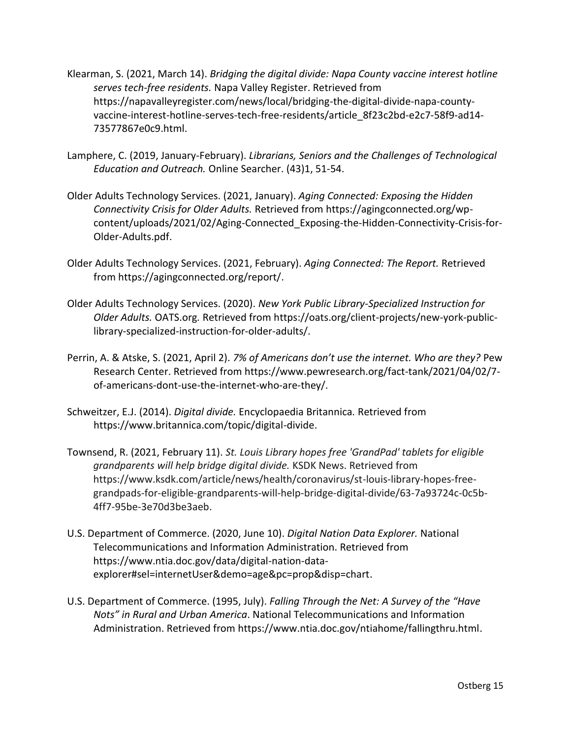- Klearman, S. (2021, March 14). *Bridging the digital divide: Napa County vaccine interest hotline serves tech-free residents.* Napa Valley Register. Retrieved from https://napavalleyregister.com/news/local/bridging-the-digital-divide-napa-countyvaccine-interest-hotline-serves-tech-free-residents/article\_8f23c2bd-e2c7-58f9-ad14- 73577867e0c9.html.
- Lamphere, C. (2019, January-February). *Librarians, Seniors and the Challenges of Technological Education and Outreach.* Online Searcher. (43)1, 51-54.
- Older Adults Technology Services. (2021, January). *Aging Connected: Exposing the Hidden Connectivity Crisis for Older Adults.* Retrieved from https://agingconnected.org/wpcontent/uploads/2021/02/Aging-Connected\_Exposing-the-Hidden-Connectivity-Crisis-for-Older-Adults.pdf.
- Older Adults Technology Services. (2021, February). *Aging Connected: The Report.* Retrieved from https://agingconnected.org/report/.
- Older Adults Technology Services. (2020). *New York Public Library-Specialized Instruction for Older Adults.* OATS.org*.* Retrieved from https://oats.org/client-projects/new-york-publiclibrary-specialized-instruction-for-older-adults/.
- Perrin, A. & Atske, S. (2021, April 2). *7% of Americans don't use the internet. Who are they?* Pew Research Center. Retrieved from https://www.pewresearch.org/fact-tank/2021/04/02/7 of-americans-dont-use-the-internet-who-are-they/.
- Schweitzer, E.J. (2014). *Digital divide.* Encyclopaedia Britannica*.* Retrieved from https://www.britannica.com/topic/digital-divide.
- Townsend, R. (2021, February 11). *St. Louis Library hopes free 'GrandPad' tablets for eligible grandparents will help bridge digital divide.* KSDK News. Retrieved from https://www.ksdk.com/article/news/health/coronavirus/st-louis-library-hopes-freegrandpads-for-eligible-grandparents-will-help-bridge-digital-divide/63-7a93724c-0c5b-4ff7-95be-3e70d3be3aeb.
- U.S. Department of Commerce. (2020, June 10). *Digital Nation Data Explorer.* National Telecommunications and Information Administration. Retrieved from https://www.ntia.doc.gov/data/digital-nation-dataexplorer#sel=internetUser&demo=age&pc=prop&disp=chart.
- U.S. Department of Commerce. (1995, July). *Falling Through the Net: A Survey of the "Have Nots" in Rural and Urban America*. National Telecommunications and Information Administration. Retrieved from https://www.ntia.doc.gov/ntiahome/fallingthru.html.